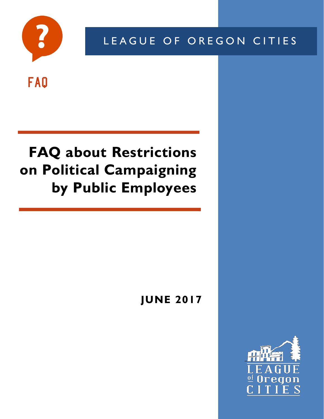

LEAGUE OF OREGON CITIES

# FAQ

# **FAQ about Restrictions on Political Campaigning by Public Employees**

# **JUNE 2017**

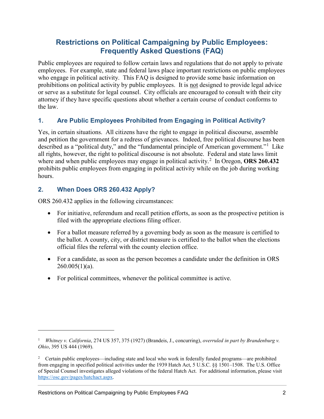# **Restrictions on Political Campaigning by Public Employees: Frequently Asked Questions (FAQ)**

Public employees are required to follow certain laws and regulations that do not apply to private employees. For example, state and federal laws place important restrictions on public employees who engage in political activity. This FAQ is designed to provide some basic information on prohibitions on political activity by public employees. It is not designed to provide legal advice or serve as a substitute for legal counsel. City officials are encouraged to consult with their city attorney if they have specific questions about whether a certain course of conduct conforms to the law.

## **1. Are Public Employees Prohibited from Engaging in Political Activity?**

Yes, in certain situations. All citizens have the right to engage in political discourse, assemble and petition the government for a redress of grievances. Indeed, free political discourse has been described as a "political duty," and the "fundamental principle of American government."<sup>[1](#page-1-0)</sup> Like all rights, however, the right to political discourse is not absolute. Federal and state laws limit where and when public employees may engage in political activity.<sup>[2](#page-1-1)</sup> In Oregon, **ORS 260.432** prohibits public employees from engaging in political activity while on the job during working hours.

## **2. When Does ORS 260.432 Apply?**

 $\overline{a}$ 

ORS 260.432 applies in the following circumstances:

- For initiative, referendum and recall petition efforts, as soon as the prospective petition is filed with the appropriate elections filing officer.
- For a ballot measure referred by a governing body as soon as the measure is certified to the ballot. A county, city, or district measure is certified to the ballot when the elections official files the referral with the county election office.
- For a candidate, as soon as the person becomes a candidate under the definition in ORS  $260.005(1)(a)$ .
- For political committees, whenever the political committee is active.

<span id="page-1-0"></span><sup>1</sup> *Whitney v. California*, 274 US 357, 375 (1927) (Brandeis, J., concurring), *overruled in part by Brandenburg v. Ohio*, 395 US 444 (1969).

<span id="page-1-1"></span><sup>&</sup>lt;sup>2</sup> Certain public employees—including state and local who work in federally funded programs—are prohibited from engaging in specified political activities under the 1939 Hatch Act, 5 U.S.C. §§ 1501–1508. The U.S. Office of Special Counsel investigates alleged violations of the federal Hatch Act. For additional information, please visit [https://osc.gov/pages/hatchact.aspx.](https://osc.gov/pages/hatchact.aspx)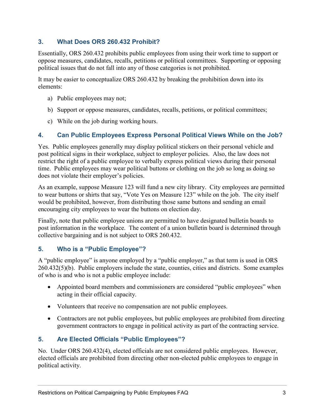# **3. What Does ORS 260.432 Prohibit?**

Essentially, ORS 260.432 prohibits public employees from using their work time to support or oppose measures, candidates, recalls, petitions or political committees. Supporting or opposing political issues that do not fall into any of those categories is not prohibited.

It may be easier to conceptualize ORS 260.432 by breaking the prohibition down into its elements:

- a) Public employees may not;
- b) Support or oppose measures, candidates, recalls, petitions, or political committees;
- c) While on the job during working hours.

## **4. Can Public Employees Express Personal Political Views While on the Job?**

Yes. Public employees generally may display political stickers on their personal vehicle and post political signs in their workplace, subject to employer policies. Also, the law does not restrict the right of a public employee to verbally express political views during their personal time. Public employees may wear political buttons or clothing on the job so long as doing so does not violate their employer's policies.

As an example, suppose Measure 123 will fund a new city library. City employees are permitted to wear buttons or shirts that say, "Vote Yes on Measure 123" while on the job. The city itself would be prohibited, however, from distributing those same buttons and sending an email encouraging city employees to wear the buttons on election day.

Finally, note that public employee unions are permitted to have designated bulletin boards to post information in the workplace. The content of a union bulletin board is determined through collective bargaining and is not subject to ORS 260.432.

# **5. Who is a "Public Employee"?**

A "public employee" is anyone employed by a "public employer," as that term is used in ORS 260.432(5)(b). Public employers include the state, counties, cities and districts. Some examples of who is and who is not a public employee include:

- Appointed board members and commissioners are considered "public employees" when acting in their official capacity.
- Volunteers that receive no compensation are not public employees.
- Contractors are not public employees, but public employees are prohibited from directing government contractors to engage in political activity as part of the contracting service.

# **5. Are Elected Officials "Public Employees"?**

No. Under ORS 260.432(4), elected officials are not considered public employees. However, elected officials are prohibited from directing other non-elected public employees to engage in political activity.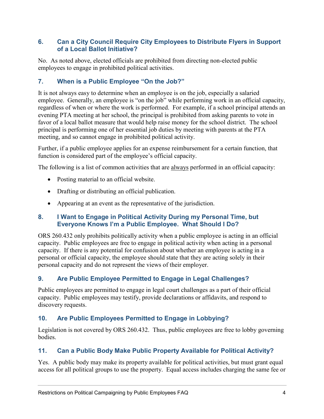#### **6. Can a City Council Require City Employees to Distribute Flyers in Support of a Local Ballot Initiative?**

No. As noted above, elected officials are prohibited from directing non-elected public employees to engage in prohibited political activities.

# **7. When is a Public Employee "On the Job?"**

It is not always easy to determine when an employee is on the job, especially a salaried employee. Generally, an employee is "on the job" while performing work in an official capacity, regardless of when or where the work is performed. For example, if a school principal attends an evening PTA meeting at her school, the principal is prohibited from asking parents to vote in favor of a local ballot measure that would help raise money for the school district. The school principal is performing one of her essential job duties by meeting with parents at the PTA meeting, and so cannot engage in prohibited political activity.

Further, if a public employee applies for an expense reimbursement for a certain function, that function is considered part of the employee's official capacity.

The following is a list of common activities that are always performed in an official capacity:

- Posting material to an official website.
- Drafting or distributing an official publication.
- Appearing at an event as the representative of the jurisdiction.

#### **8. I Want to Engage in Political Activity During my Personal Time, but Everyone Knows I'm a Public Employee. What Should I Do?**

ORS 260.432 only prohibits politically activity when a public employee is acting in an official capacity. Public employees are free to engage in political activity when acting in a personal capacity. If there is any potential for confusion about whether an employee is acting in a personal or official capacity, the employee should state that they are acting solely in their personal capacity and do not represent the views of their employer.

# **9. Are Public Employee Permitted to Engage in Legal Challenges?**

Public employees are permitted to engage in legal court challenges as a part of their official capacity. Public employees may testify, provide declarations or affidavits, and respond to discovery requests.

# **10. Are Public Employees Permitted to Engage in Lobbying?**

Legislation is not covered by ORS 260.432. Thus, public employees are free to lobby governing bodies.

# **11. Can a Public Body Make Public Property Available for Political Activity?**

Yes. A public body may make its property available for political activities, but must grant equal access for all political groups to use the property. Equal access includes charging the same fee or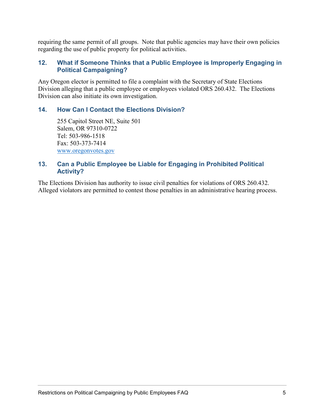requiring the same permit of all groups. Note that public agencies may have their own policies regarding the use of public property for political activities.

#### **12. What if Someone Thinks that a Public Employee is Improperly Engaging in Political Campaigning?**

Any Oregon elector is permitted to file a complaint with the Secretary of State Elections Division alleging that a public employee or employees violated ORS 260.432. The Elections Division can also initiate its own investigation.

#### **14. How Can I Contact the Elections Division?**

255 Capitol Street NE, Suite 501 Salem, OR 97310-0722 Tel: 503-986-1518 Fax: 503-373-7414 [www.oregonvotes.gov](http://www.oregonvotes.gov/)

#### **13. Can a Public Employee be Liable for Engaging in Prohibited Political Activity?**

The Elections Division has authority to issue civil penalties for violations of ORS 260.432. Alleged violators are permitted to contest those penalties in an administrative hearing process.